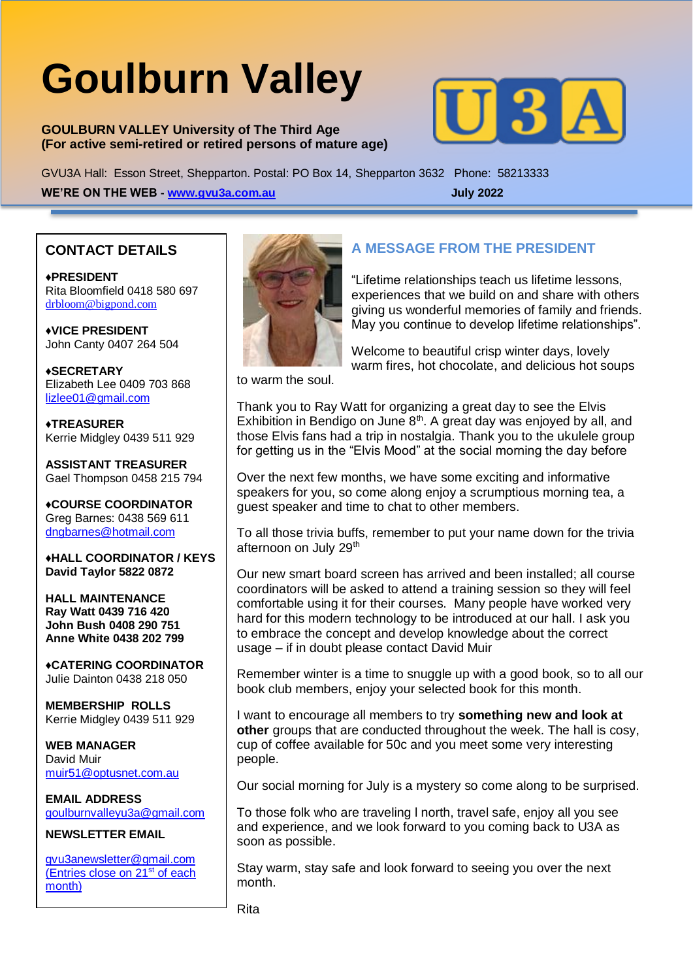# **Goulburn Valley**

**GOULBURN VALLEY University of The Third Age (For active semi-retired or retired persons of mature age)**



GVU3A Hall: Esson Street, Shepparton. Postal: PO Box 14, Shepparton 3632 Phone: 58213333 **WE'RE ON THE WEB - [www.gvu3a.com.au](http://www.gvu3a.com.au/) July 2022**

## **CONTACT DETAILS**

♦**PRESIDENT** Rita Bloomfield 0418 580 697 [drbloom@bigpond.com](mailto:drbloom@bigpond.com)

♦**VICE PRESIDENT** John Canty 0407 264 504

**♦SECRETARY** Elizabeth Lee 0409 703 868 [lizlee01@gmail.com](mailto:lizlee01@gmail.com)

**♦TREASURER** Kerrie Midgley 0439 511 929

**ASSISTANT TREASURER**  Gael Thompson 0458 215 794

♦**COURSE COORDINATOR**  Greg Barnes: 0438 569 611 [dngbarnes@hotmail.com](mailto:dngbarnes@hotmail.com)

♦**HALL COORDINATOR / KEYS David Taylor 5822 0872**

**HALL MAINTENANCE Ray Watt 0439 716 420 John Bush 0408 290 751 Anne White 0438 202 799**

♦**CATERING COORDINATOR** Julie Dainton 0438 218 050

**MEMBERSHIP ROLLS** Kerrie Midgley 0439 511 929

**WEB MANAGER** David Muir [muir51@optusnet.com.au](mailto:muir51@optusnet.com.au)

**EMAIL ADDRESS** [goulburnvalleyu3a@gmail.com](mailto:goulburnvalleyu3a@gmail.com)

#### **NEWSLETTER EMAIL**

[gvu3anewsletter@gmail.com](mailto:gvu3anewsletter@gmail.com) (Entries close on 21st of each month)



## **A MESSAGE FROM THE PRESIDENT**

"Lifetime relationships teach us lifetime lessons, experiences that we build on and share with others giving us wonderful memories of family and friends. May you continue to develop lifetime relationships".

Welcome to beautiful crisp winter days, lovely warm fires, hot chocolate, and delicious hot soups

to warm the soul.

Thank you to Ray Watt for organizing a great day to see the Elvis Exhibition in Bendigo on June  $8<sup>th</sup>$ . A great day was enjoyed by all, and those Elvis fans had a trip in nostalgia. Thank you to the ukulele group for getting us in the "Elvis Mood" at the social morning the day before

Over the next few months, we have some exciting and informative speakers for you, so come along enjoy a scrumptious morning tea, a guest speaker and time to chat to other members.

To all those trivia buffs, remember to put your name down for the trivia afternoon on July 29<sup>th</sup>

Our new smart board screen has arrived and been installed; all course coordinators will be asked to attend a training session so they will feel comfortable using it for their courses. Many people have worked very hard for this modern technology to be introduced at our hall. I ask you to embrace the concept and develop knowledge about the correct usage – if in doubt please contact David Muir

Remember winter is a time to snuggle up with a good book, so to all our book club members, enjoy your selected book for this month.

I want to encourage all members to try **something new and look at other** groups that are conducted throughout the week. The hall is cosy, cup of coffee available for 50c and you meet some very interesting people.

Our social morning for July is a mystery so come along to be surprised.

To those folk who are traveling l north, travel safe, enjoy all you see and experience, and we look forward to you coming back to U3A as soon as possible.

Stay warm, stay safe and look forward to seeing you over the next month.

Rita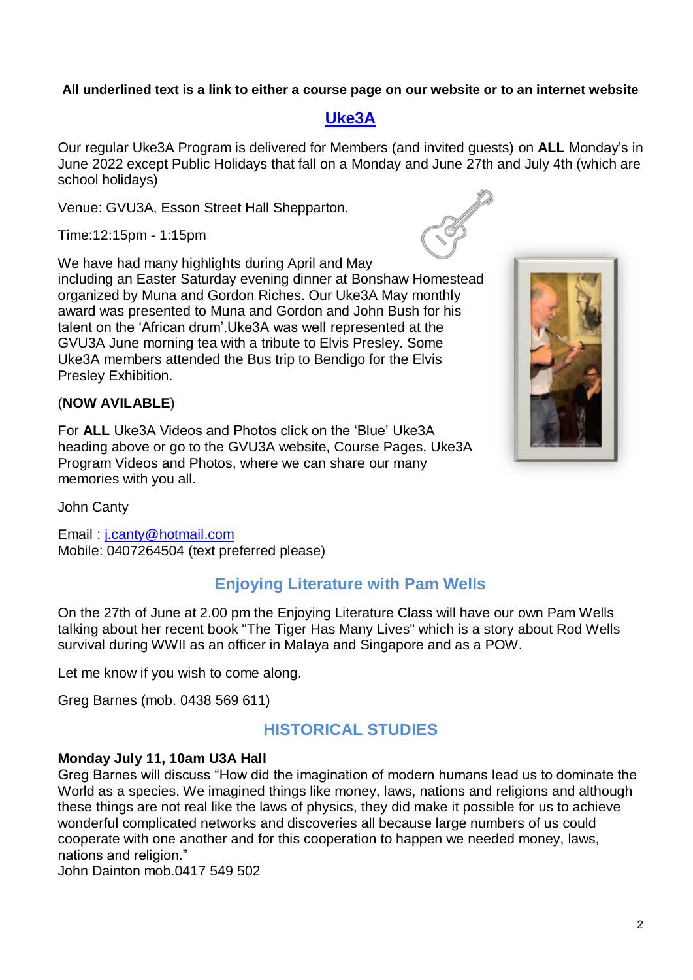#### **All underlined text is a link to either a course page on our website or to an internet website**

## **[Uke3A](https://www.gvu3a.com.au/uke3a)**

Our regular Uke3A Program is delivered for Members (and invited guests) on **ALL** Monday's in June 2022 except Public Holidays that fall on a Monday and June 27th and July 4th (which are school holidays)

Venue: GVU3A, Esson Street Hall Shepparton.

Time:12:15pm - 1:15pm

We have had many highlights during April and May including an Easter Saturday evening dinner at Bonshaw Homestead organized by Muna and Gordon Riches. Our Uke3A May monthly award was presented to Muna and Gordon and John Bush for his talent on the 'African drum'.Uke3A was well represented at the GVU3A June morning tea with a tribute to Elvis Presley. Some Uke3A members attended the Bus trip to Bendigo for the Elvis Presley Exhibition.

#### (**NOW AVILABLE**)

For **ALL** Uke3A Videos and Photos click on the 'Blue' Uke3A heading above or go to the GVU3A website, Course Pages, Uke3A Program Videos and Photos, where we can share our many memories with you all.

John Canty

Email : [j.canty@hotmail.com](mailto:j.canty@hotmail.com) Mobile: 0407264504 (text preferred please)

## **Enjoying Literature with Pam Wells**

On the 27th of June at 2.00 pm the Enjoying Literature Class will have our own Pam Wells talking about her recent book "The Tiger Has Many Lives" which is a story about Rod Wells survival during WWII as an officer in Malaya and Singapore and as a POW.

Let me know if you wish to come along.

Greg Barnes (mob. 0438 569 611)

## **HISTORICAL STUDIES**

#### **Monday July 11, 10am U3A Hall**

Greg Barnes will discuss "How did the imagination of modern humans lead us to dominate the World as a species. We imagined things like money, laws, nations and religions and although these things are not real like the laws of physics, they did make it possible for us to achieve wonderful complicated networks and discoveries all because large numbers of us could cooperate with one another and for this cooperation to happen we needed money, laws, nations and religion."

John Dainton mob.0417 549 502

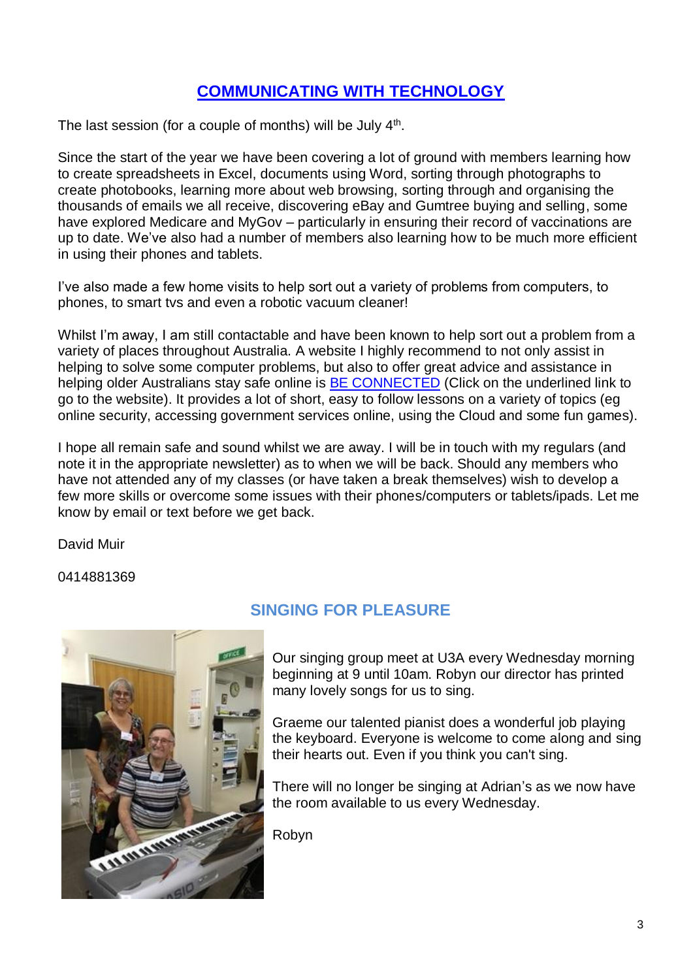# **[COMMUNICATING WITH TECHNOLOGY](https://www.gvu3a.com.au/computers)**

The last session (for a couple of months) will be July  $4<sup>th</sup>$ .

Since the start of the year we have been covering a lot of ground with members learning how to create spreadsheets in Excel, documents using Word, sorting through photographs to create photobooks, learning more about web browsing, sorting through and organising the thousands of emails we all receive, discovering eBay and Gumtree buying and selling, some have explored Medicare and MyGov – particularly in ensuring their record of vaccinations are up to date. We've also had a number of members also learning how to be much more efficient in using their phones and tablets.

I've also made a few home visits to help sort out a variety of problems from computers, to phones, to smart tvs and even a robotic vacuum cleaner!

Whilst I'm away, I am still contactable and have been known to help sort out a problem from a variety of places throughout Australia. A website I highly recommend to not only assist in helping to solve some computer problems, but also to offer great advice and assistance in helping older Australians stay safe online is **BE CONNECTED** (Click on the underlined link to go to the website). It provides a lot of short, easy to follow lessons on a variety of topics (eg online security, accessing government services online, using the Cloud and some fun games).

I hope all remain safe and sound whilst we are away. I will be in touch with my regulars (and note it in the appropriate newsletter) as to when we will be back. Should any members who have not attended any of my classes (or have taken a break themselves) wish to develop a few more skills or overcome some issues with their phones/computers or tablets/ipads. Let me know by email or text before we get back.

David Muir

0414881369



# **SINGING FOR PLEASURE**

Our singing group meet at U3A every Wednesday morning beginning at 9 until 10am. Robyn our director has printed many lovely songs for us to sing.

Graeme our talented pianist does a wonderful job playing the keyboard. Everyone is welcome to come along and sing their hearts out. Even if you think you can't sing.

There will no longer be singing at Adrian's as we now have the room available to us every Wednesday.

Robyn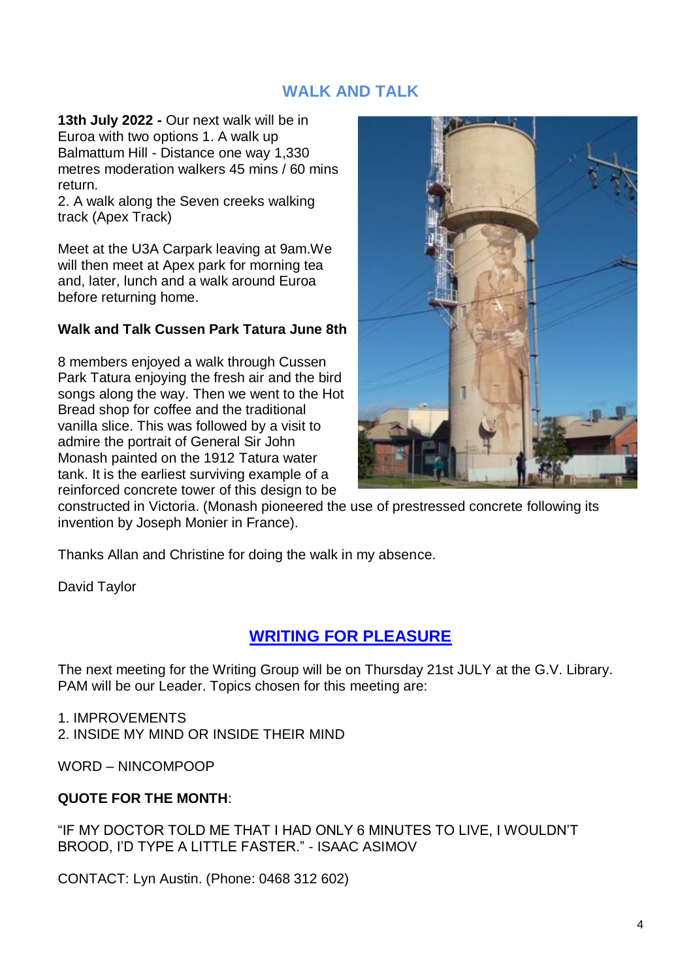## **WALK AND TALK**

**13th July 2022 -** Our next walk will be in Euroa with two options 1. A walk up Balmattum Hill - Distance one way 1,330 metres moderation walkers 45 mins / 60 mins return.

2. A walk along the Seven creeks walking track (Apex Track)

Meet at the U3A Carpark leaving at 9am.We will then meet at Apex park for morning tea and, later, lunch and a walk around Euroa before returning home.

#### **Walk and Talk Cussen Park Tatura June 8th**

8 members enjoyed a walk through Cussen Park Tatura enjoying the fresh air and the bird songs along the way. Then we went to the Hot Bread shop for coffee and the traditional vanilla slice. This was followed by a visit to admire the portrait of General Sir John Monash painted on the 1912 Tatura water tank. It is the earliest surviving example of a reinforced concrete tower of this design to be



constructed in Victoria. (Monash pioneered the use of prestressed concrete following its invention by Joseph Monier in France).

Thanks Allan and Christine for doing the walk in my absence.

David Taylor

# **[WRITING FOR PLEASURE](https://www.gvu3a.com.au/writing-for-pleasure)**

The next meeting for the Writing Group will be on Thursday 21st JULY at the G.V. Library. PAM will be our Leader. Topics chosen for this meeting are:

#### 1. IMPROVEMENTS

2. INSIDE MY MIND OR INSIDE THEIR MIND

WORD – NINCOMPOOP

#### **QUOTE FOR THE MONTH**:

"IF MY DOCTOR TOLD ME THAT I HAD ONLY 6 MINUTES TO LIVE, I WOULDN'T BROOD, I'D TYPE A LITTLE FASTER." - ISAAC ASIMOV

CONTACT: Lyn Austin. (Phone: 0468 312 602)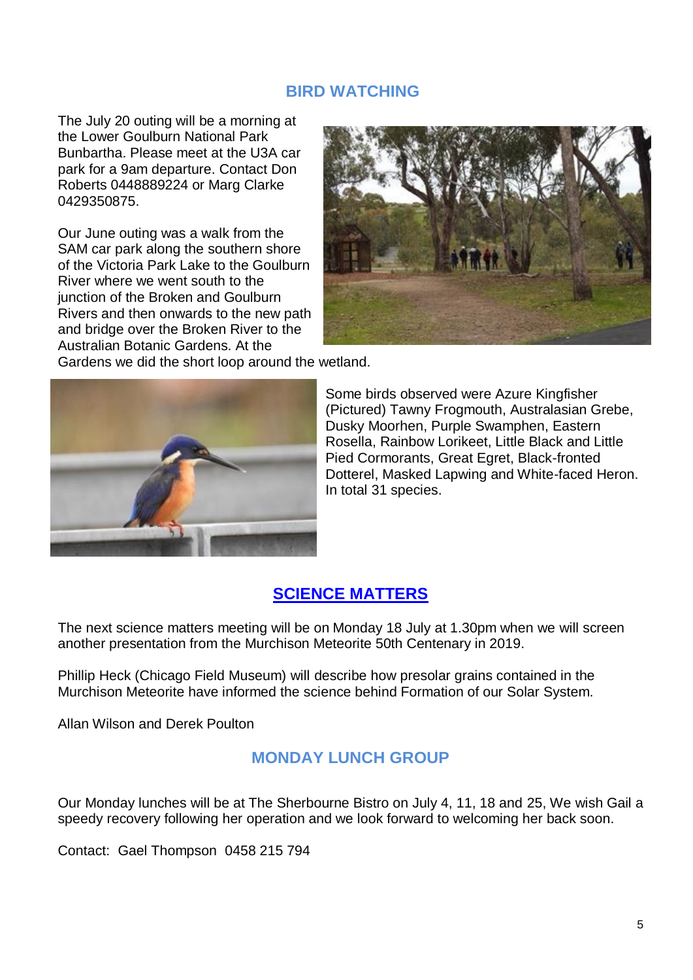## **BIRD WATCHING**

The July 20 outing will be a morning at the Lower Goulburn National Park Bunbartha. Please meet at the U3A car park for a 9am departure. Contact Don Roberts 0448889224 or Marg Clarke 0429350875.

Our June outing was a walk from the SAM car park along the southern shore of the Victoria Park Lake to the Goulburn River where we went south to the junction of the Broken and Goulburn Rivers and then onwards to the new path and bridge over the Broken River to the Australian Botanic Gardens. At the



Gardens we did the short loop around the wetland.



Some birds observed were Azure Kingfisher (Pictured) Tawny Frogmouth, Australasian Grebe, Dusky Moorhen, Purple Swamphen, Eastern Rosella, Rainbow Lorikeet, Little Black and Little Pied Cormorants, Great Egret, Black-fronted Dotterel, Masked Lapwing and White-faced Heron. In total 31 species.

# **[SCIENCE MATTERS](https://www.gvu3a.com.au/science-matters)**

The next science matters meeting will be on Monday 18 July at 1.30pm when we will screen another presentation from the Murchison Meteorite 50th Centenary in 2019.

Phillip Heck (Chicago Field Museum) will describe how presolar grains contained in the Murchison Meteorite have informed the science behind Formation of our Solar System.

Allan Wilson and Derek Poulton

## **MONDAY LUNCH GROUP**

Our Monday lunches will be at The Sherbourne Bistro on July 4, 11, 18 and 25, We wish Gail a speedy recovery following her operation and we look forward to welcoming her back soon.

Contact: Gael Thompson 0458 215 794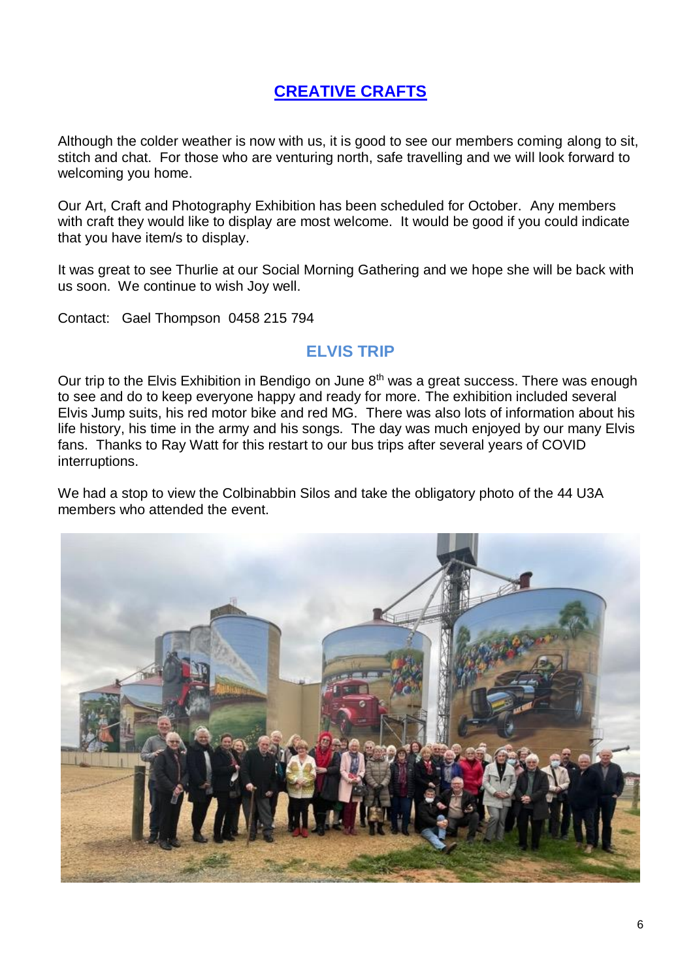# **[CREATIVE CRAFTS](https://www.gvu3a.com.au/creative-craft)**

Although the colder weather is now with us, it is good to see our members coming along to sit, stitch and chat. For those who are venturing north, safe travelling and we will look forward to welcoming you home.

Our Art, Craft and Photography Exhibition has been scheduled for October. Any members with craft they would like to display are most welcome. It would be good if you could indicate that you have item/s to display.

It was great to see Thurlie at our Social Morning Gathering and we hope she will be back with us soon. We continue to wish Joy well.

Contact: Gael Thompson 0458 215 794

# **ELVIS TRIP**

Our trip to the Elvis Exhibition in Bendigo on June  $8<sup>th</sup>$  was a great success. There was enough to see and do to keep everyone happy and ready for more. The exhibition included several Elvis Jump suits, his red motor bike and red MG. There was also lots of information about his life history, his time in the army and his songs. The day was much enjoyed by our many Elvis fans. Thanks to Ray Watt for this restart to our bus trips after several years of COVID interruptions.

We had a stop to view the Colbinabbin Silos and take the obligatory photo of the 44 U3A members who attended the event.

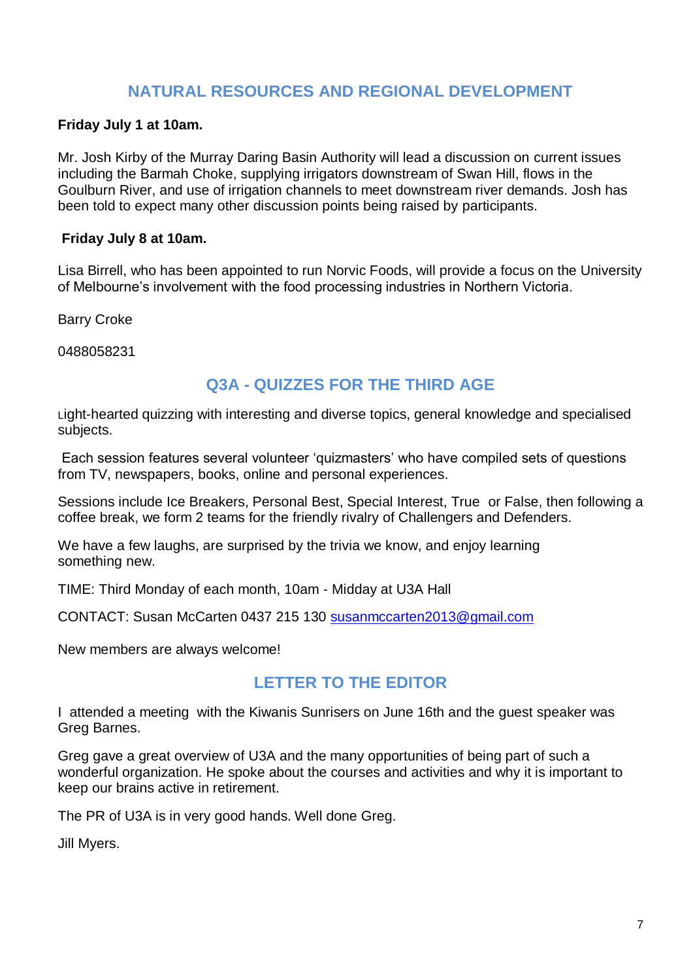## **NATURAL RESOURCES AND REGIONAL DEVELOPMENT**

#### **Friday July 1 at 10am.**

Mr. Josh Kirby of the Murray Daring Basin Authority will lead a discussion on current issues including the Barmah Choke, supplying irrigators downstream of Swan Hill, flows in the Goulburn River, and use of irrigation channels to meet downstream river demands. Josh has been told to expect many other discussion points being raised by participants.

#### **Friday July 8 at 10am.**

Lisa Birrell, who has been appointed to run Norvic Foods, will provide a focus on the University of Melbourne's involvement with the food processing industries in Northern Victoria.

Barry Croke

0488058231

## **Q3A - QUIZZES FOR THE THIRD AGE**

Light-hearted quizzing with interesting and diverse topics, general knowledge and specialised subjects.

Each session features several volunteer 'quizmasters' who have compiled sets of questions from TV, newspapers, books, online and personal experiences.

Sessions include Ice Breakers, Personal Best, Special Interest, True or False, then following a coffee break, we form 2 teams for the friendly rivalry of Challengers and Defenders.

We have a few laughs, are surprised by the trivia we know, and enjoy learning something new.

TIME: Third Monday of each month, 10am - Midday at U3A Hall

CONTACT: Susan McCarten 0437 215 130 [susanmccarten2013@gmail.com](mailto:susanmccarten2013@gmail.com)

New members are always welcome!

## **LETTER TO THE EDITOR**

I attended a meeting with the Kiwanis Sunrisers on June 16th and the guest speaker was Greg Barnes.

Greg gave a great overview of U3A and the many opportunities of being part of such a wonderful organization. He spoke about the courses and activities and why it is important to keep our brains active in retirement.

The PR of U3A is in very good hands. Well done Greg.

Jill Myers.